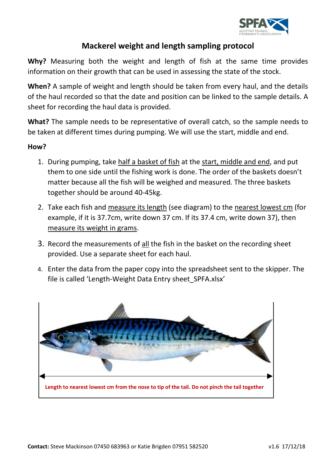

## **Mackerel weight and length sampling protocol**

**Why?** Measuring both the weight and length of fish at the same time provides information on their growth that can be used in assessing the state of the stock.

**When?** A sample of weight and length should be taken from every haul, and the details of the haul recorded so that the date and position can be linked to the sample details. A sheet for recording the haul data is provided.

**What?** The sample needs to be representative of overall catch, so the sample needs to be taken at different times during pumping. We will use the start, middle and end.

## **How?**

- 1. During pumping, take half a basket of fish at the start, middle and end, and put them to one side until the fishing work is done. The order of the baskets doesn't matter because all the fish will be weighed and measured. The three baskets together should be around 40-45kg.
- 2. Take each fish and measure its length (see diagram) to the nearest lowest cm (for example, if it is 37.7cm, write down 37 cm. If its 37.4 cm, write down 37), then measure its weight in grams.
- 3. Record the measurements of all the fish in the basket on the recording sheet provided. Use a separate sheet for each haul.
- 4. Enter the data from the paper copy into the spreadsheet sent to the skipper. The file is called 'Length-Weight Data Entry sheet\_SPFA.xlsx'